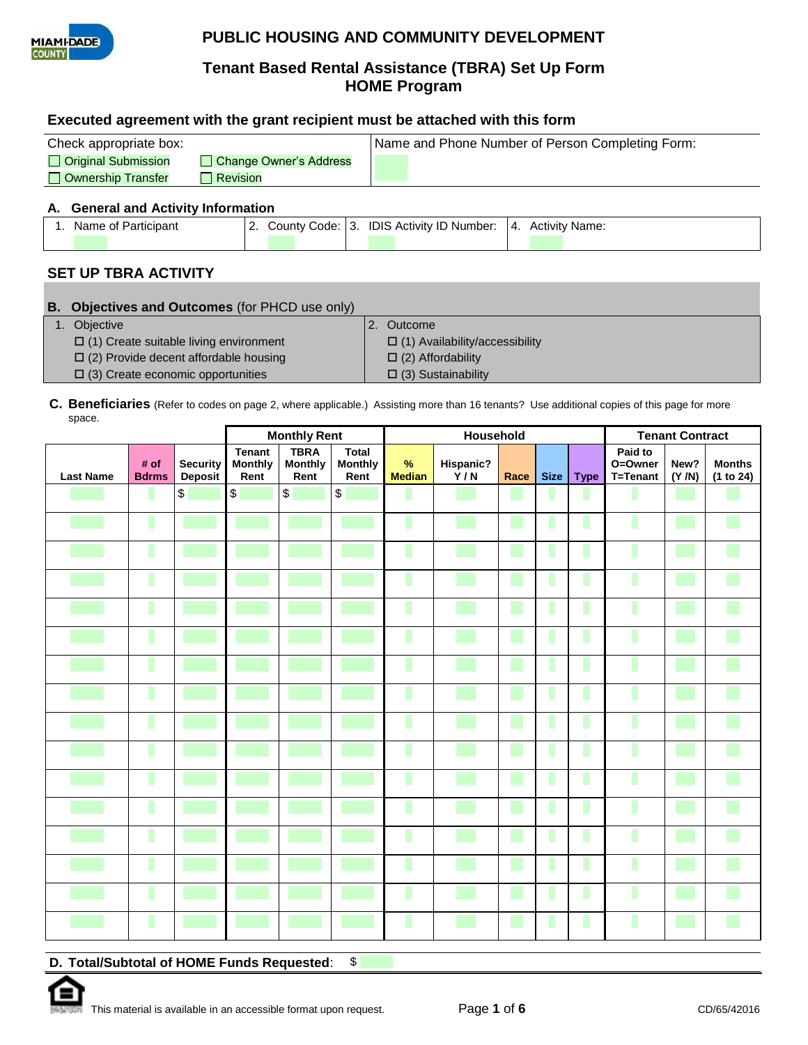

# **Tenant Based Rental Assistance (TBRA) Set Up Form HOME Program**

### **Executed agreement with the grant recipient must be attached with this form**

| Check appropriate box: |                        | Name and Phone Number of Person Completing Form: |
|------------------------|------------------------|--------------------------------------------------|
| □ Original Submission  | Change Owner's Address |                                                  |
| □ Ownership Transfer   | Revision               |                                                  |

#### **A. General and Activity Information**

| Name of Participant |  | County Code: 3. IDIS Activity ID Number: | $\overline{14}$ | <b>Activity Name:</b> |
|---------------------|--|------------------------------------------|-----------------|-----------------------|
|                     |  |                                          |                 |                       |

### **SET UP TBRA ACTIVITY**

| <b>B.</b> Objectives and Outcomes (for PHCD use only) |  |                                       |  |  |  |  |
|-------------------------------------------------------|--|---------------------------------------|--|--|--|--|
| 1. Objective                                          |  | Outcome                               |  |  |  |  |
| $\Box$ (1) Create suitable living environment         |  | $\Box$ (1) Availability/accessibility |  |  |  |  |
| $\Box$ (2) Provide decent affordable housing          |  | $\Box$ (2) Affordability              |  |  |  |  |
| $\Box$ (3) Create economic opportunities              |  | $\Box$ (3) Sustainability             |  |  |  |  |
|                                                       |  |                                       |  |  |  |  |

#### **C. Beneficiaries** (Refer to codes on page 2, where applicable.) Assisting more than 16 tenants? Use additional copies of this page for more space.

|                  |                      |                                   |                                         | <b>Monthly Rent</b>                   |                                        | Household                                                                                                            |                  |      | <b>Tenant Contract</b> |             |                                |               |                            |
|------------------|----------------------|-----------------------------------|-----------------------------------------|---------------------------------------|----------------------------------------|----------------------------------------------------------------------------------------------------------------------|------------------|------|------------------------|-------------|--------------------------------|---------------|----------------------------|
| <b>Last Name</b> | # of<br><b>Bdrms</b> | <b>Security</b><br><b>Deposit</b> | <b>Tenant</b><br><b>Monthly</b><br>Rent | <b>TBRA</b><br><b>Monthly</b><br>Rent | <b>Total</b><br><b>Monthly</b><br>Rent | $\%$<br><b>Median</b>                                                                                                | Hispanic?<br>Y/N | Race | <b>Size</b>            | <b>Type</b> | Paid to<br>O=Owner<br>T=Tenant | New?<br>(Y/N) | <b>Months</b><br>(1 to 24) |
|                  |                      | \$                                | $\bullet$                               | $\boldsymbol{\theta}$                 | $\,$                                   | <b>STATE OF STATE OF STATE OF STATE OF STATE OF STATE OF STATE OF STATE OF STATE OF STATE OF STATE OF STATE OF S</b> |                  |      |                        |             |                                |               |                            |
|                  |                      |                                   |                                         |                                       |                                        |                                                                                                                      |                  |      | ш                      | L           | ı                              |               |                            |
|                  |                      |                                   |                                         |                                       |                                        | I.                                                                                                                   |                  |      | П                      | L           | ı                              |               |                            |
|                  |                      |                                   |                                         |                                       |                                        | I.                                                                                                                   |                  |      | ш                      | ı           | ı                              |               |                            |
|                  |                      |                                   |                                         |                                       |                                        |                                                                                                                      |                  |      | ш                      | ı           |                                |               |                            |
|                  |                      |                                   |                                         |                                       |                                        |                                                                                                                      |                  |      | П                      | $\Box$      | Γ                              |               |                            |
|                  |                      |                                   |                                         |                                       |                                        |                                                                                                                      |                  |      | ш                      | L           |                                |               |                            |
|                  | r.                   |                                   |                                         |                                       |                                        | ×                                                                                                                    |                  |      | ш                      |             |                                |               |                            |
|                  |                      |                                   |                                         |                                       |                                        | ٠                                                                                                                    |                  |      | ш                      | г           | ı                              |               |                            |
|                  |                      |                                   |                                         |                                       |                                        | <b>CONTRACTOR</b>                                                                                                    |                  |      | п                      | L           | ı                              |               |                            |
|                  |                      |                                   |                                         |                                       |                                        | <b>STATE OF STATE OF STATE OF STATE OF STATE OF STATE OF STATE OF STATE OF STATE OF STATE OF STATE OF STATE OF S</b> |                  |      | ш                      | г           |                                |               |                            |
|                  |                      |                                   |                                         |                                       |                                        |                                                                                                                      |                  |      | ш                      | ı           |                                |               |                            |
|                  |                      |                                   |                                         |                                       |                                        |                                                                                                                      |                  |      |                        | ı           |                                |               |                            |
|                  |                      |                                   |                                         |                                       |                                        |                                                                                                                      |                  |      |                        | п           |                                |               |                            |
|                  |                      |                                   |                                         |                                       |                                        | $\mathcal{L}(\mathcal{L})$                                                                                           |                  |      | ш                      | п           |                                |               |                            |
|                  |                      |                                   |                                         |                                       |                                        | ٠                                                                                                                    |                  |      | ш                      | г           | г                              |               |                            |

**D. Total/Subtotal of HOME Funds Requested**: \$

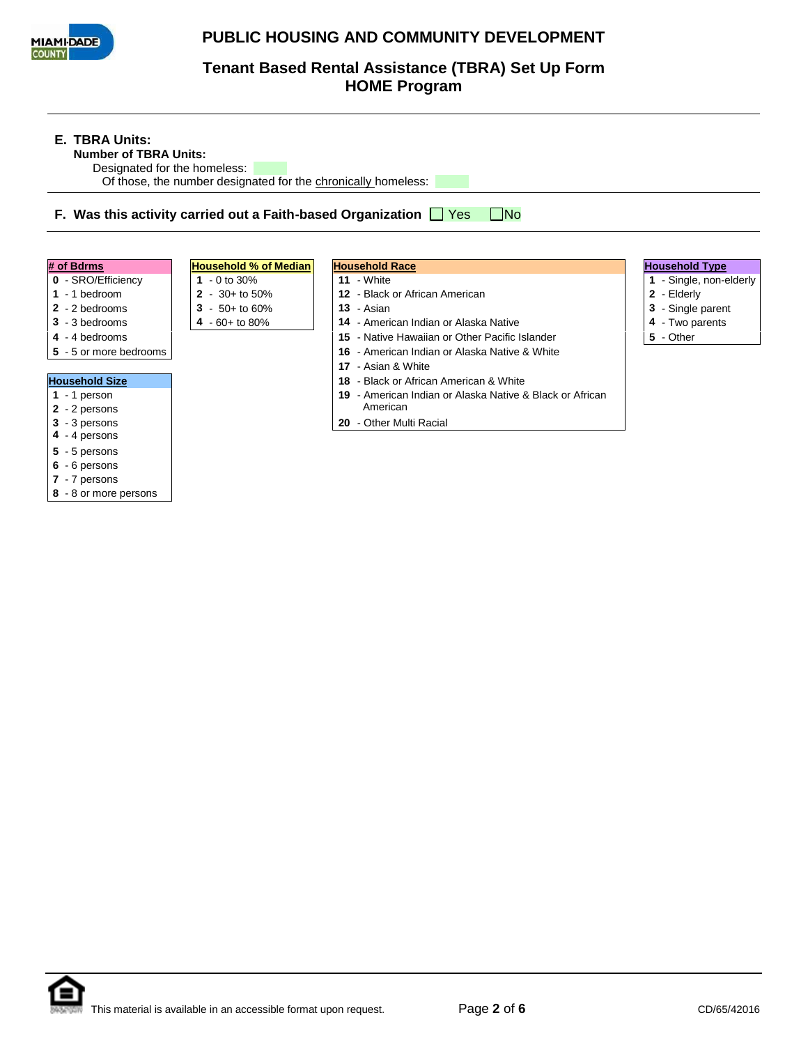

**Tenant Based Rental Assistance (TBRA) Set Up Form HOME Program**

| <b>E. TBRA Units:</b><br><b>Number of TBRA Units:</b><br>Designated for the homeless:                                                                                                                                                                                                                         | Of those, the number designated for the chronically homeless:                                                | F. Was this activity carried out a Faith-based Organization $\Box$ Yes<br>  No                                                                                                                                                                                                                                                                                                                           |                                                                                                                      |
|---------------------------------------------------------------------------------------------------------------------------------------------------------------------------------------------------------------------------------------------------------------------------------------------------------------|--------------------------------------------------------------------------------------------------------------|----------------------------------------------------------------------------------------------------------------------------------------------------------------------------------------------------------------------------------------------------------------------------------------------------------------------------------------------------------------------------------------------------------|----------------------------------------------------------------------------------------------------------------------|
| # of Bdrms<br>0 - SRO/Efficiency<br>$1 - 1$ bedroom<br>2 - 2 bedrooms<br>3 - 3 bedrooms<br>4 - 4 bedrooms<br>5 - 5 or more bedrooms<br><b>Household Size</b><br>$1 - 1$ person<br>2 - 2 persons<br>3 - 3 persons<br>4 - 4 persons<br>5 - 5 persons<br>6 - 6 persons<br>7 - 7 persons<br>8 - 8 or more persons | <b>Household % of Median</b><br>1 $-0$ to 30%<br>$2 - 30 +$ to 50%<br>$3 - 50 +$ to 60%<br>$4 - 60 +$ to 80% | <b>Household Race</b><br>$11 -$ White<br>12 - Black or African American<br>13 - Asian<br>14 - American Indian or Alaska Native<br>15 - Native Hawaiian or Other Pacific Islander<br>- American Indian or Alaska Native & White<br>16.<br>17 - Asian & White<br>18 - Black or African American & White<br>19 - American Indian or Alaska Native & Black or African<br>American<br>20 - Other Multi Racial | <b>Household Type</b><br>1 - Single, non-elderly<br>2 - Elderly<br>3 - Single parent<br>4 - Two parents<br>5 - Other |

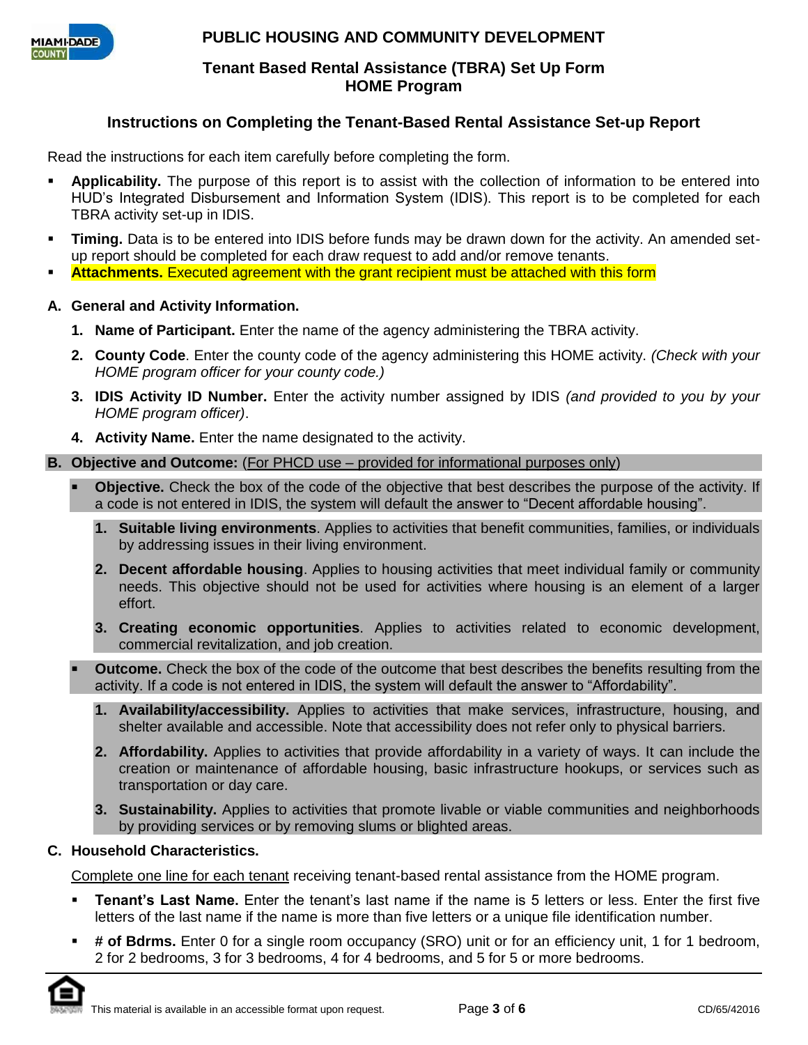

### **Tenant Based Rental Assistance (TBRA) Set Up Form HOME Program**

# **Instructions on Completing the Tenant-Based Rental Assistance Set-up Report**

Read the instructions for each item carefully before completing the form.

- **Applicability.** The purpose of this report is to assist with the collection of information to be entered into HUD's Integrated Disbursement and Information System (IDIS). This report is to be completed for each TBRA activity set-up in IDIS.
- **Timing.** Data is to be entered into IDIS before funds may be drawn down for the activity. An amended setup report should be completed for each draw request to add and/or remove tenants.
- **Attachments.** Executed agreement with the grant recipient must be attached with this form

### **A. General and Activity Information.**

- **1. Name of Participant.** Enter the name of the agency administering the TBRA activity.
- **2. County Code**. Enter the county code of the agency administering this HOME activity. *(Check with your HOME program officer for your county code.)*
- **3. IDIS Activity ID Number.** Enter the activity number assigned by IDIS *(and provided to you by your HOME program officer)*.
- **4. Activity Name.** Enter the name designated to the activity.

### **B.** Objective and Outcome: (For PHCD use – provided for informational purposes only)

- **Objective.** Check the box of the code of the objective that best describes the purpose of the activity. If a code is not entered in IDIS, the system will default the answer to "Decent affordable housing".
	- **1. Suitable living environments**. Applies to activities that benefit communities, families, or individuals by addressing issues in their living environment.
	- **2. Decent affordable housing**. Applies to housing activities that meet individual family or community needs. This objective should not be used for activities where housing is an element of a larger effort.
	- **3. Creating economic opportunities**. Applies to activities related to economic development, commercial revitalization, and job creation.
- **Outcome.** Check the box of the code of the outcome that best describes the benefits resulting from the activity. If a code is not entered in IDIS, the system will default the answer to "Affordability".
	- **1. Availability/accessibility.** Applies to activities that make services, infrastructure, housing, and shelter available and accessible. Note that accessibility does not refer only to physical barriers.
	- **2. Affordability.** Applies to activities that provide affordability in a variety of ways. It can include the creation or maintenance of affordable housing, basic infrastructure hookups, or services such as transportation or day care.
	- **3. Sustainability.** Applies to activities that promote livable or viable communities and neighborhoods by providing services or by removing slums or blighted areas.

### **C. Household Characteristics.**

Complete one line for each tenant receiving tenant-based rental assistance from the HOME program.

- **Tenant's Last Name.** Enter the tenant's last name if the name is 5 letters or less. Enter the first five letters of the last name if the name is more than five letters or a unique file identification number.
- **# of Bdrms.** Enter 0 for a single room occupancy (SRO) unit or for an efficiency unit, 1 for 1 bedroom, 2 for 2 bedrooms, 3 for 3 bedrooms, 4 for 4 bedrooms, and 5 for 5 or more bedrooms.

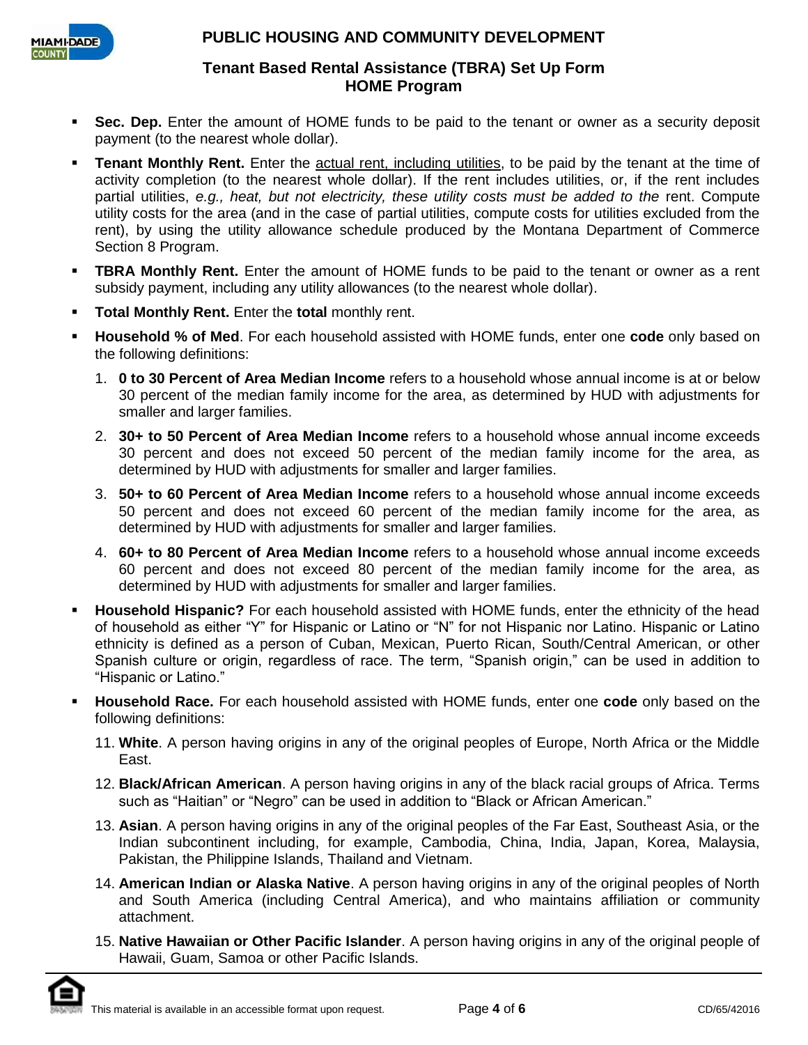

### **Tenant Based Rental Assistance (TBRA) Set Up Form HOME Program**

- **Sec. Dep.** Enter the amount of HOME funds to be paid to the tenant or owner as a security deposit payment (to the nearest whole dollar).
- **Tenant Monthly Rent.** Enter the actual rent, including utilities, to be paid by the tenant at the time of activity completion (to the nearest whole dollar). If the rent includes utilities, or, if the rent includes partial utilities, *e.g., heat, but not electricity, these utility costs must be added to the rent.* Compute utility costs for the area (and in the case of partial utilities, compute costs for utilities excluded from the rent), by using the utility allowance schedule produced by the Montana Department of Commerce Section 8 Program.
- **TBRA Monthly Rent.** Enter the amount of HOME funds to be paid to the tenant or owner as a rent subsidy payment, including any utility allowances (to the nearest whole dollar).
- **Total Monthly Rent.** Enter the **total** monthly rent.
- **Household % of Med**. For each household assisted with HOME funds, enter one **code** only based on the following definitions:
	- 1. **0 to 30 Percent of Area Median Income** refers to a household whose annual income is at or below 30 percent of the median family income for the area, as determined by HUD with adjustments for smaller and larger families.
	- 2. **30+ to 50 Percent of Area Median Income** refers to a household whose annual income exceeds 30 percent and does not exceed 50 percent of the median family income for the area, as determined by HUD with adjustments for smaller and larger families.
	- 3. **50+ to 60 Percent of Area Median Income** refers to a household whose annual income exceeds 50 percent and does not exceed 60 percent of the median family income for the area, as determined by HUD with adjustments for smaller and larger families.
	- 4. **60+ to 80 Percent of Area Median Income** refers to a household whose annual income exceeds 60 percent and does not exceed 80 percent of the median family income for the area, as determined by HUD with adjustments for smaller and larger families.
- **Household Hispanic?** For each household assisted with HOME funds, enter the ethnicity of the head of household as either "Y" for Hispanic or Latino or "N" for not Hispanic nor Latino. Hispanic or Latino ethnicity is defined as a person of Cuban, Mexican, Puerto Rican, South/Central American, or other Spanish culture or origin, regardless of race. The term, "Spanish origin," can be used in addition to "Hispanic or Latino."
- **Household Race.** For each household assisted with HOME funds, enter one **code** only based on the following definitions:
	- 11. **White**. A person having origins in any of the original peoples of Europe, North Africa or the Middle East.
	- 12. **Black/African American**. A person having origins in any of the black racial groups of Africa. Terms such as "Haitian" or "Negro" can be used in addition to "Black or African American."
	- 13. **Asian**. A person having origins in any of the original peoples of the Far East, Southeast Asia, or the Indian subcontinent including, for example, Cambodia, China, India, Japan, Korea, Malaysia, Pakistan, the Philippine Islands, Thailand and Vietnam.
	- 14. **American Indian or Alaska Native**. A person having origins in any of the original peoples of North and South America (including Central America), and who maintains affiliation or community attachment.
	- 15. **Native Hawaiian or Other Pacific Islander**. A person having origins in any of the original people of Hawaii, Guam, Samoa or other Pacific Islands.

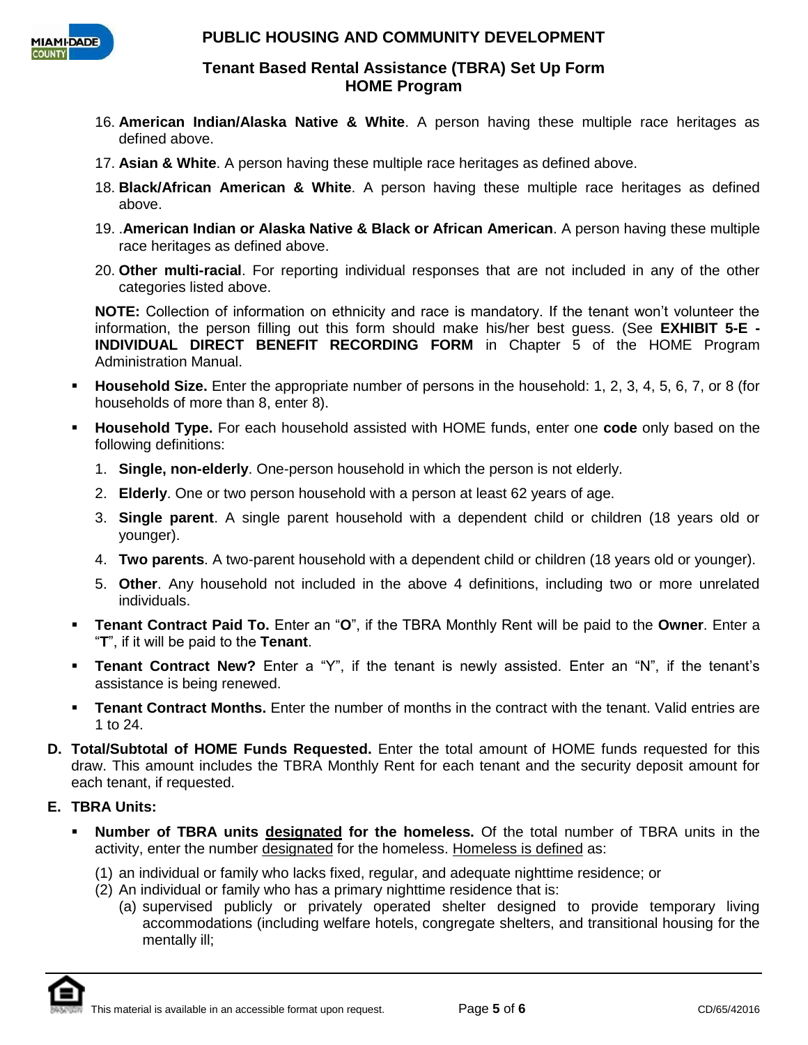

### **Tenant Based Rental Assistance (TBRA) Set Up Form HOME Program**

- 16. **American Indian/Alaska Native & White**. A person having these multiple race heritages as defined above.
- 17. **Asian & White**. A person having these multiple race heritages as defined above.
- 18. **Black/African American & White**. A person having these multiple race heritages as defined above.
- 19. .**American Indian or Alaska Native & Black or African American**. A person having these multiple race heritages as defined above.
- 20. **Other multi-racial**. For reporting individual responses that are not included in any of the other categories listed above.

**NOTE:** Collection of information on ethnicity and race is mandatory. If the tenant won't volunteer the information, the person filling out this form should make his/her best guess. (See **EXHIBIT 5-E - INDIVIDUAL DIRECT BENEFIT RECORDING FORM** in Chapter 5 of the HOME Program Administration Manual.

- **Household Size.** Enter the appropriate number of persons in the household: 1, 2, 3, 4, 5, 6, 7, or 8 (for households of more than 8, enter 8).
- **Household Type.** For each household assisted with HOME funds, enter one **code** only based on the following definitions:
	- 1. **Single, non-elderly**. One-person household in which the person is not elderly.
	- 2. **Elderly**. One or two person household with a person at least 62 years of age.
	- 3. **Single parent**. A single parent household with a dependent child or children (18 years old or younger).
	- 4. **Two parents**. A two-parent household with a dependent child or children (18 years old or younger).
	- 5. **Other**. Any household not included in the above 4 definitions, including two or more unrelated individuals.
- **Tenant Contract Paid To.** Enter an "**O**", if the TBRA Monthly Rent will be paid to the **Owner**. Enter a "**T**", if it will be paid to the **Tenant**.
- **Tenant Contract New?** Enter a "Y", if the tenant is newly assisted. Enter an "N", if the tenant's assistance is being renewed.
- **Tenant Contract Months.** Enter the number of months in the contract with the tenant. Valid entries are 1 to 24.
- **D. Total/Subtotal of HOME Funds Requested.** Enter the total amount of HOME funds requested for this draw. This amount includes the TBRA Monthly Rent for each tenant and the security deposit amount for each tenant, if requested.

## **E. TBRA Units:**

- **Number of TBRA units designated for the homeless.** Of the total number of TBRA units in the activity, enter the number designated for the homeless. Homeless is defined as:
	- (1) an individual or family who lacks fixed, regular, and adequate nighttime residence; or
	- (2) An individual or family who has a primary nighttime residence that is:
		- (a) supervised publicly or privately operated shelter designed to provide temporary living accommodations (including welfare hotels, congregate shelters, and transitional housing for the mentally ill;